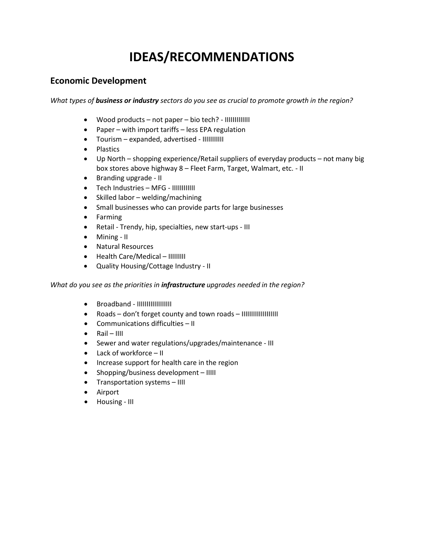# **IDEAS/RECOMMENDATIONS**

## **Economic Development**

*What types of business or industry sectors do you see as crucial to promote growth in the region?*

- Wood products not paper bio tech? IIIIIIIIIIIIII
- Paper with import tariffs less EPA regulation
- Tourism expanded, advertised IIIIIIIIIII
- Plastics
- Up North shopping experience/Retail suppliers of everyday products not many big box stores above highway 8 – Fleet Farm, Target, Walmart, etc. - II
- Branding upgrade II
- Tech Industries MFG IIIIIIIIIIII
- Skilled labor welding/machining
- Small businesses who can provide parts for large businesses
- Farming
- Retail Trendy, hip, specialties, new start-ups III
- Mining II
- Natural Resources
- Health Care/Medical IIIIIIIII
- Quality Housing/Cottage Industry II

### *What do you see as the priorities in infrastructure upgrades needed in the region?*

- Broadband IIIIIIIIIIIIIIIIII
- Roads don't forget county and town roads IIIIIIIIIIIIIIIIIIII
- Communications difficulties II
- $\bullet$  Rail IIII
- Sewer and water regulations/upgrades/maintenance III
- Lack of workforce II
- Increase support for health care in the region
- Shopping/business development IIIII
- Transportation systems IIII
- Airport
- Housing III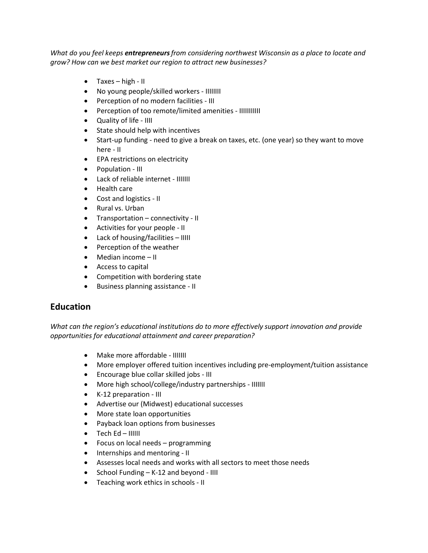*What do you feel keeps entrepreneursfrom considering northwest Wisconsin as a place to locate and grow? How can we best market our region to attract new businesses?*

- Taxes high II
- No young people/skilled workers IIIIIIII
- Perception of no modern facilities III
- Perception of too remote/limited amenities IIIIIIIIIII
- Quality of life IIII
- State should help with incentives
- Start-up funding need to give a break on taxes, etc. (one year) so they want to move here - II
- EPA restrictions on electricity
- Population III
- Lack of reliable internet IIIIIII
- Health care
- Cost and logistics II
- Rural vs. Urban
- Transportation connectivity II
- Activities for your people II
- Lack of housing/facilities IIIII
- Perception of the weather
- Median income II
- Access to capital
- Competition with bordering state
- Business planning assistance II

## **Education**

*What can the region's educational institutions do to more effectively support innovation and provide opportunities for educational attainment and career preparation?*

- Make more affordable IIIIIII
- More employer offered tuition incentives including pre-employment/tuition assistance
- Encourage blue collar skilled jobs III
- More high school/college/industry partnerships IIIIIII
- K-12 preparation III
- Advertise our (Midwest) educational successes
- More state loan opportunities
- Payback loan options from businesses
- Tech Ed IIIIII
- Focus on local needs programming
- Internships and mentoring II
- Assesses local needs and works with all sectors to meet those needs
- School Funding K-12 and beyond IIII
- Teaching work ethics in schools II